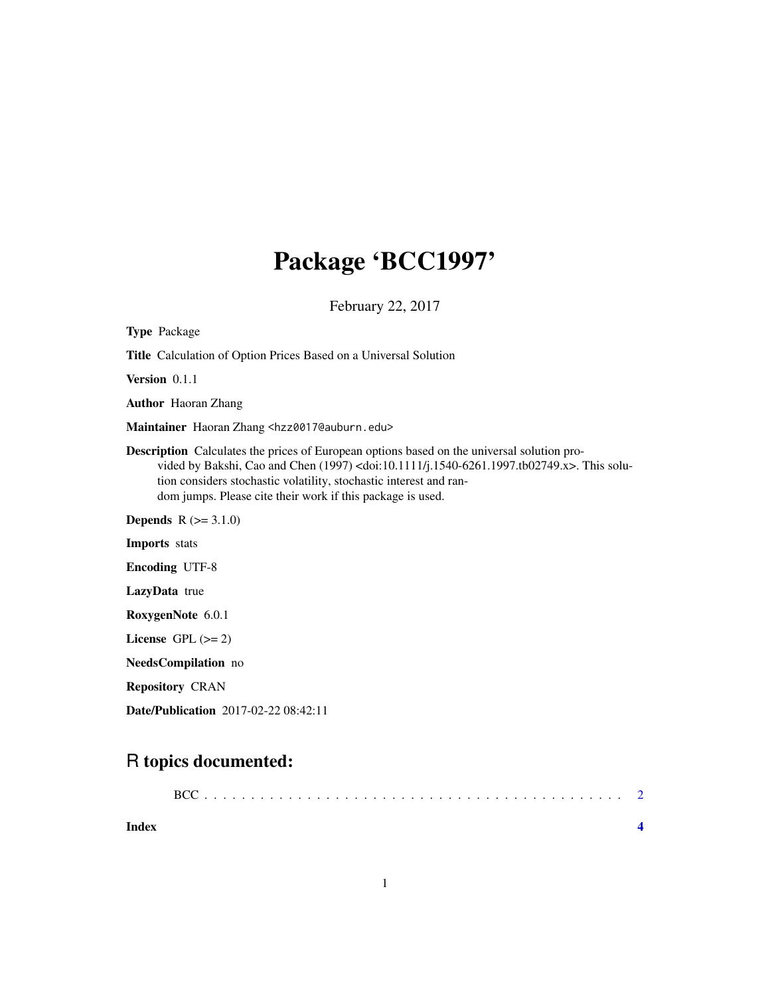## Package 'BCC1997'

February 22, 2017

| <b>Type Package</b>                                                                                                                                                                                                                                                                                                                                     |  |  |  |
|---------------------------------------------------------------------------------------------------------------------------------------------------------------------------------------------------------------------------------------------------------------------------------------------------------------------------------------------------------|--|--|--|
| <b>Title</b> Calculation of Option Prices Based on a Universal Solution                                                                                                                                                                                                                                                                                 |  |  |  |
| Version $0.1.1$                                                                                                                                                                                                                                                                                                                                         |  |  |  |
| <b>Author</b> Haoran Zhang                                                                                                                                                                                                                                                                                                                              |  |  |  |
| Maintainer Haoran Zhang <hzz0017@auburn.edu></hzz0017@auburn.edu>                                                                                                                                                                                                                                                                                       |  |  |  |
| <b>Description</b> Calculates the prices of European options based on the universal solution pro-<br>vided by Bakshi, Cao and Chen $(1997)$ <doi:10.1111 j.1540-6261.1997.tb02749.x="">. This solu-<br/>tion considers stochastic volatility, stochastic interest and ran-<br/>dom jumps. Please cite their work if this package is used.</doi:10.1111> |  |  |  |
| <b>Depends</b> $R (= 3.1.0)$                                                                                                                                                                                                                                                                                                                            |  |  |  |
| <b>Imports</b> stats                                                                                                                                                                                                                                                                                                                                    |  |  |  |
| <b>Encoding UTF-8</b>                                                                                                                                                                                                                                                                                                                                   |  |  |  |
| LazyData true                                                                                                                                                                                                                                                                                                                                           |  |  |  |
| RoxygenNote 6.0.1                                                                                                                                                                                                                                                                                                                                       |  |  |  |
| License GPL $(>= 2)$                                                                                                                                                                                                                                                                                                                                    |  |  |  |
| NeedsCompilation no                                                                                                                                                                                                                                                                                                                                     |  |  |  |
| <b>Repository CRAN</b>                                                                                                                                                                                                                                                                                                                                  |  |  |  |
| Date/Publication 2017-02-22 08:42:11                                                                                                                                                                                                                                                                                                                    |  |  |  |

### R topics documented:

| Index |  |
|-------|--|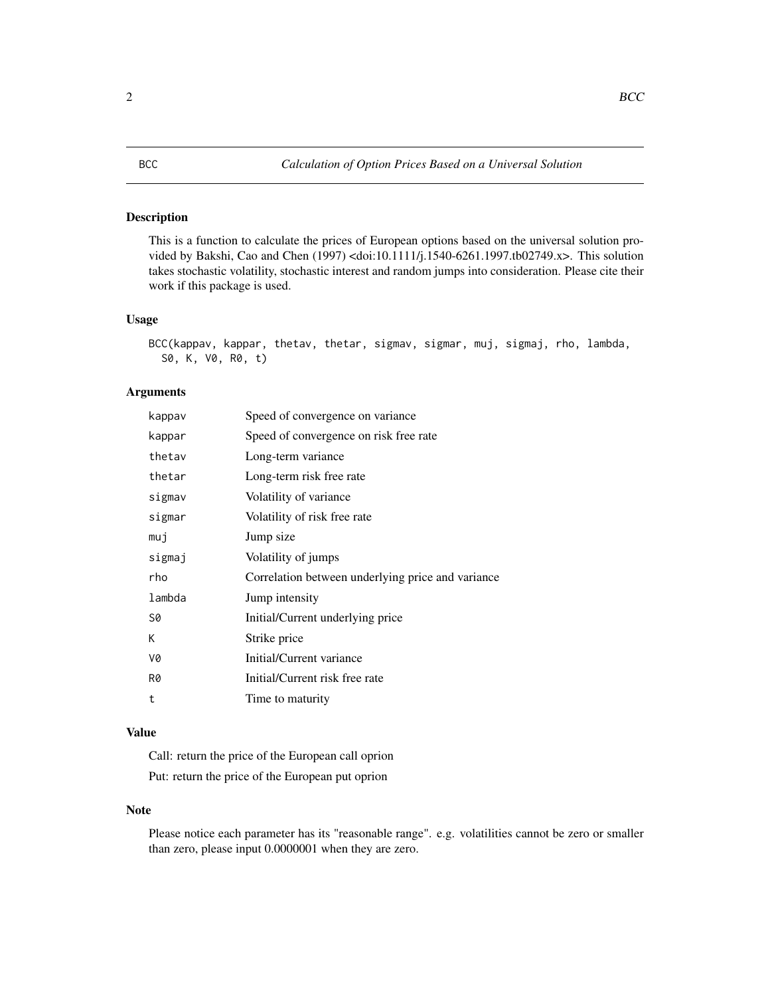#### <span id="page-1-0"></span>Description

This is a function to calculate the prices of European options based on the universal solution provided by Bakshi, Cao and Chen (1997) <doi:10.1111/j.1540-6261.1997.tb02749.x>. This solution takes stochastic volatility, stochastic interest and random jumps into consideration. Please cite their work if this package is used.

#### Usage

```
BCC(kappav, kappar, thetav, thetar, sigmav, sigmar, muj, sigmaj, rho, lambda,
S0, K, V0, R0, t)
```
#### Arguments

| kappav | Speed of convergence on variance                  |
|--------|---------------------------------------------------|
| kappar | Speed of convergence on risk free rate            |
| thetav | Long-term variance                                |
| thetar | Long-term risk free rate                          |
| sigmav | Volatility of variance                            |
| sigmar | Volatility of risk free rate                      |
| muj    | Jump size                                         |
| sigmaj | Volatility of jumps                               |
| rho    | Correlation between underlying price and variance |
| lambda | Jump intensity                                    |
| S0     | Initial/Current underlying price                  |
| K      | Strike price                                      |
| V0     | Initial/Current variance                          |
| R0     | Initial/Current risk free rate                    |
| t      | Time to maturity                                  |

#### Value

Call: return the price of the European call oprion Put: return the price of the European put oprion

#### Note

Please notice each parameter has its "reasonable range". e.g. volatilities cannot be zero or smaller than zero, please input 0.0000001 when they are zero.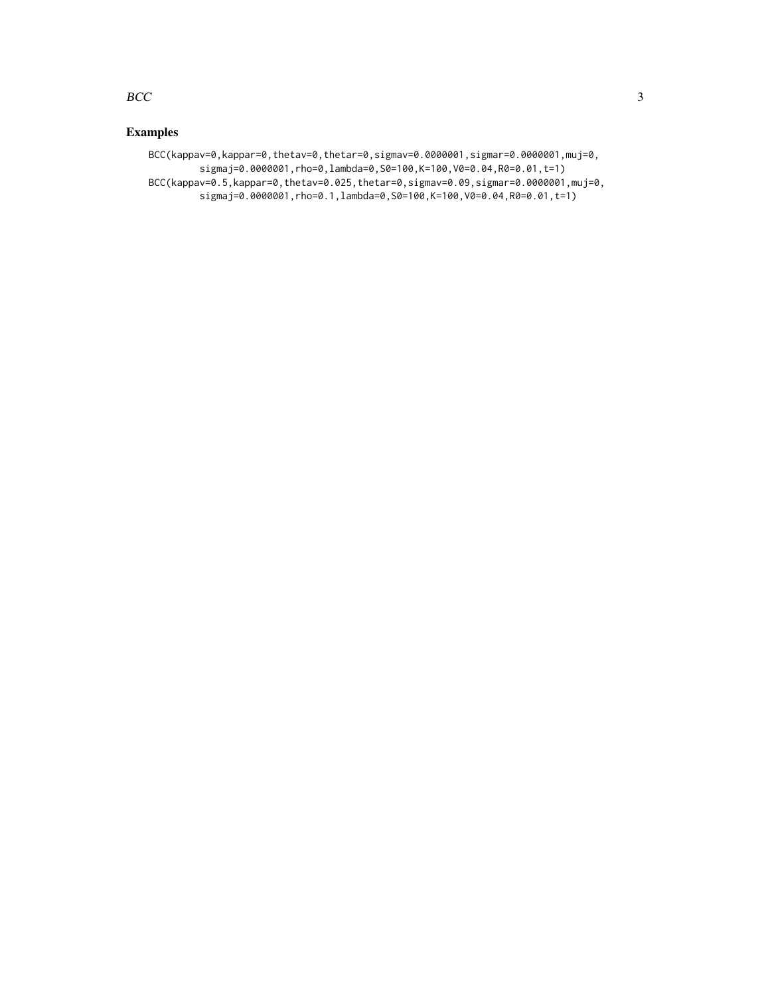#### $BCC$  3

### Examples

BCC(kappav=0,kappar=0,thetav=0,thetar=0,sigmav=0.0000001,sigmar=0.0000001,muj=0, sigmaj=0.0000001,rho=0,lambda=0,S0=100,K=100,V0=0.04,R0=0.01,t=1) BCC(kappav=0.5,kappar=0,thetav=0.025,thetar=0,sigmav=0.09,sigmar=0.0000001,muj=0, sigmaj=0.0000001,rho=0.1,lambda=0,S0=100,K=100,V0=0.04,R0=0.01,t=1)